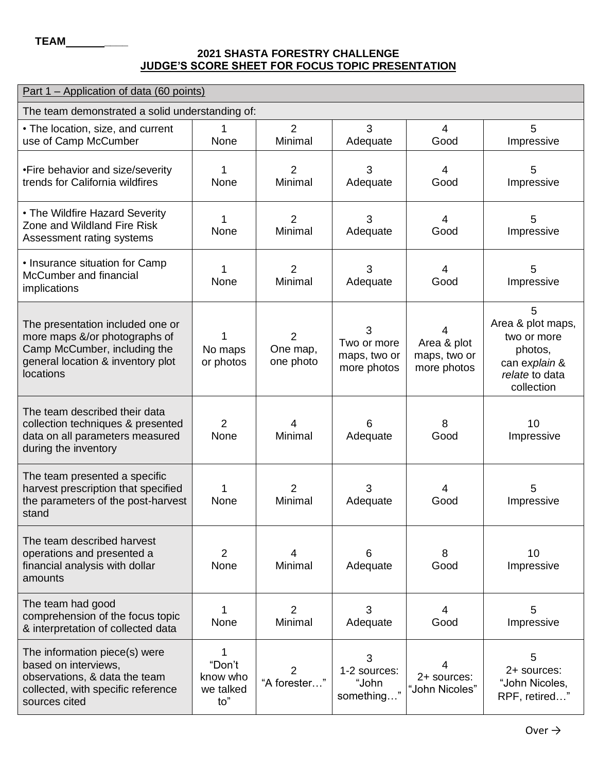## **TEAM \_\_\_\_ 2021 SHASTA FORESTRY CHALLENGE JUDGE'S SCORE SHEET FOR FOCUS TOPIC PRESENTATION**

| Part 1 – Application of data (60 points)                                                                                                            |                                             |                                         |                                                 |                                                 |                                                                                                   |  |  |  |  |
|-----------------------------------------------------------------------------------------------------------------------------------------------------|---------------------------------------------|-----------------------------------------|-------------------------------------------------|-------------------------------------------------|---------------------------------------------------------------------------------------------------|--|--|--|--|
| The team demonstrated a solid understanding of:                                                                                                     |                                             |                                         |                                                 |                                                 |                                                                                                   |  |  |  |  |
| • The location, size, and current<br>use of Camp McCumber                                                                                           | 1.<br>None                                  | 2<br>Minimal                            | 3<br>Adequate                                   | 4<br>Good                                       | 5<br>Impressive                                                                                   |  |  |  |  |
| •Fire behavior and size/severity<br>trends for California wildfires                                                                                 | 1<br>None                                   | $\overline{2}$<br>Minimal               | 3<br>Adequate                                   | $\overline{4}$<br>Good                          | 5<br>Impressive                                                                                   |  |  |  |  |
| • The Wildfire Hazard Severity<br>Zone and Wildland Fire Risk<br>Assessment rating systems                                                          | 1<br>None                                   | $\overline{2}$<br>Minimal               | 3<br>Adequate                                   | $\overline{4}$<br>Good                          | 5<br>Impressive                                                                                   |  |  |  |  |
| • Insurance situation for Camp<br>McCumber and financial<br>implications                                                                            | 1<br>None                                   | $\overline{2}$<br>Minimal               | 3<br>Adequate                                   | 4<br>Good                                       | 5<br>Impressive                                                                                   |  |  |  |  |
| The presentation included one or<br>more maps &/or photographs of<br>Camp McCumber, including the<br>general location & inventory plot<br>locations | No maps<br>or photos                        | $\overline{2}$<br>One map,<br>one photo | 3<br>Two or more<br>maps, two or<br>more photos | 4<br>Area & plot<br>maps, two or<br>more photos | 5<br>Area & plot maps,<br>two or more<br>photos,<br>can explain &<br>relate to data<br>collection |  |  |  |  |
| The team described their data<br>collection techniques & presented<br>data on all parameters measured<br>during the inventory                       | $\overline{2}$<br>None                      | 4<br>Minimal                            | 6<br>Adequate                                   | 8<br>Good                                       | 10<br>Impressive                                                                                  |  |  |  |  |
| The team presented a specific<br>harvest prescription that specified<br>the parameters of the post-harvest<br>stand                                 | 1<br>None                                   | $\overline{2}$<br>Minimal               | 3<br>Adequate                                   | 4<br>Good                                       | 5<br>Impressive                                                                                   |  |  |  |  |
| The team described harvest<br>operations and presented a<br>financial analysis with dollar<br>amounts                                               | 2<br>None                                   | 4<br>Minimal                            | 6<br>Adequate                                   | 8<br>Good                                       | 10<br>Impressive                                                                                  |  |  |  |  |
| The team had good<br>comprehension of the focus topic<br>& interpretation of collected data                                                         | 1<br>None                                   | $\overline{2}$<br>Minimal               | 3<br>Adequate                                   | $\overline{4}$<br>Good                          | 5<br>Impressive                                                                                   |  |  |  |  |
| The information piece(s) were<br>based on interviews,<br>observations, & data the team<br>collected, with specific reference<br>sources cited       | 1<br>"Don't<br>know who<br>we talked<br>to" | 2<br>"A forester"                       | 3<br>1-2 sources:<br>"John<br>something         | 4<br>2+ sources:<br>"John Nicoles"              | 5<br>2+ sources:<br>"John Nicoles,<br>RPF, retired'                                               |  |  |  |  |